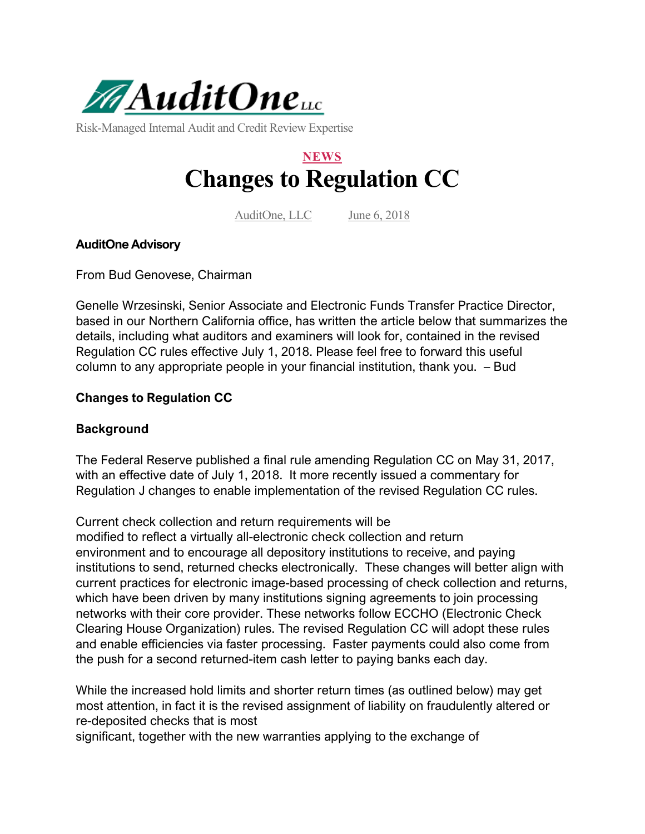

Risk-Managed Internal Audit and Credit Review Expertise

# **NEWS Changes to Regulation CC**

AuditOne, LLC June 6, 2018

## **AuditOne Advisory**

From Bud Genovese, Chairman

Genelle Wrzesinski, Senior Associate and Electronic Funds Transfer Practice Director, based in our Northern California office, has written the article below that summarizes the details, including what auditors and examiners will look for, contained in the revised Regulation CC rules effective July 1, 2018. Please feel free to forward this useful column to any appropriate people in your financial institution, thank you. – Bud

## **Changes to Regulation CC**

#### **Background**

The Federal Reserve published a final rule amending Regulation CC on May 31, 2017, with an effective date of July 1, 2018. It more recently issued a commentary for Regulation J changes to enable implementation of the revised Regulation CC rules.

Current check collection and return requirements will be

modified to reflect a virtually all-electronic check collection and return environment and to encourage all depository institutions to receive, and paying institutions to send, returned checks electronically. These changes will better align with current practices for electronic image-based processing of check collection and returns, which have been driven by many institutions signing agreements to join processing networks with their core provider. These networks follow ECCHO (Electronic Check Clearing House Organization) rules. The revised Regulation CC will adopt these rules and enable efficiencies via faster processing. Faster payments could also come from the push for a second returned-item cash letter to paying banks each day.

While the increased hold limits and shorter return times (as outlined below) may get most attention, in fact it is the revised assignment of liability on fraudulently altered or re-deposited checks that is most

significant, together with the new warranties applying to the exchange of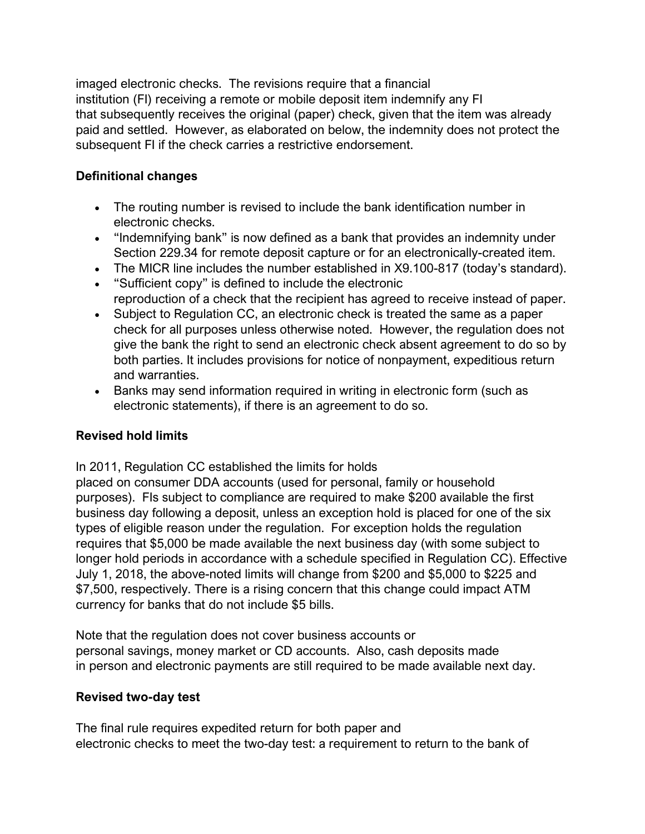imaged electronic checks. The revisions require that a financial institution (FI) receiving a remote or mobile deposit item indemnify any FI that subsequently receives the original (paper) check, given that the item was already paid and settled. However, as elaborated on below, the indemnity does not protect the subsequent FI if the check carries a restrictive endorsement.

## **Definitional changes**

- The routing number is revised to include the bank identification number in electronic checks.
- "Indemnifying bank" is now defined as a bank that provides an indemnity under Section 229.34 for remote deposit capture or for an electronically-created item.
- The MICR line includes the number established in X9.100-817 (today's standard).
- "Sufficient copy" is defined to include the electronic reproduction of a check that the recipient has agreed to receive instead of paper.
- Subject to Regulation CC, an electronic check is treated the same as a paper check for all purposes unless otherwise noted. However, the regulation does not give the bank the right to send an electronic check absent agreement to do so by both parties. It includes provisions for notice of nonpayment, expeditious return and warranties.
- Banks may send information required in writing in electronic form (such as electronic statements), if there is an agreement to do so.

## **Revised hold limits**

In 2011, Regulation CC established the limits for holds

placed on consumer DDA accounts (used for personal, family or household purposes). FIs subject to compliance are required to make \$200 available the first business day following a deposit, unless an exception hold is placed for one of the six types of eligible reason under the regulation. For exception holds the regulation requires that \$5,000 be made available the next business day (with some subject to longer hold periods in accordance with a schedule specified in Regulation CC). Effective July 1, 2018, the above-noted limits will change from \$200 and \$5,000 to \$225 and \$7,500, respectively. There is a rising concern that this change could impact ATM currency for banks that do not include \$5 bills.

Note that the regulation does not cover business accounts or personal savings, money market or CD accounts. Also, cash deposits made in person and electronic payments are still required to be made available next day.

## **Revised two-day test**

The final rule requires expedited return for both paper and electronic checks to meet the two-day test: a requirement to return to the bank of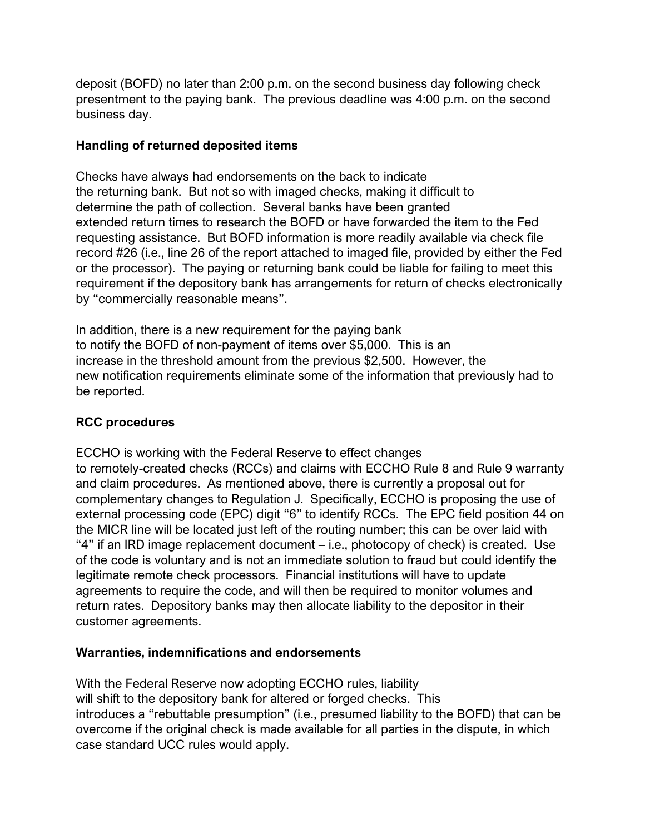deposit (BOFD) no later than 2:00 p.m. on the second business day following check presentment to the paying bank. The previous deadline was 4:00 p.m. on the second business day.

### **Handling of returned deposited items**

Checks have always had endorsements on the back to indicate the returning bank. But not so with imaged checks, making it difficult to determine the path of collection. Several banks have been granted extended return times to research the BOFD or have forwarded the item to the Fed requesting assistance. But BOFD information is more readily available via check file record #26 (i.e., line 26 of the report attached to imaged file, provided by either the Fed or the processor). The paying or returning bank could be liable for failing to meet this requirement if the depository bank has arrangements for return of checks electronically by "commercially reasonable means".

In addition, there is a new requirement for the paying bank to notify the BOFD of non-payment of items over \$5,000. This is an increase in the threshold amount from the previous \$2,500. However, the new notification requirements eliminate some of the information that previously had to be reported.

## **RCC procedures**

ECCHO is working with the Federal Reserve to effect changes to remotely-created checks (RCCs) and claims with ECCHO Rule 8 and Rule 9 warranty and claim procedures. As mentioned above, there is currently a proposal out for complementary changes to Regulation J. Specifically, ECCHO is proposing the use of external processing code (EPC) digit "6" to identify RCCs. The EPC field position 44 on the MICR line will be located just left of the routing number; this can be over laid with "4" if an IRD image replacement document – i.e., photocopy of check) is created. Use of the code is voluntary and is not an immediate solution to fraud but could identify the legitimate remote check processors. Financial institutions will have to update agreements to require the code, and will then be required to monitor volumes and return rates. Depository banks may then allocate liability to the depositor in their customer agreements.

## **Warranties, indemnifications and endorsements**

With the Federal Reserve now adopting ECCHO rules, liability will shift to the depository bank for altered or forged checks. This introduces a "rebuttable presumption" (i.e., presumed liability to the BOFD) that can be overcome if the original check is made available for all parties in the dispute, in which case standard UCC rules would apply.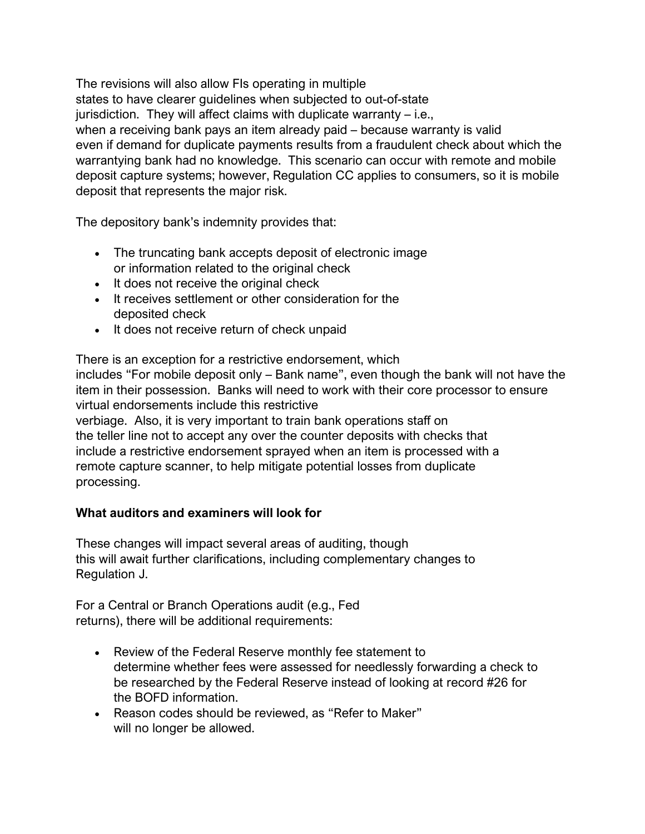The revisions will also allow FIs operating in multiple states to have clearer guidelines when subjected to out-of-state jurisdiction. They will affect claims with duplicate warranty – i.e., when a receiving bank pays an item already paid – because warranty is valid even if demand for duplicate payments results from a fraudulent check about which the warrantying bank had no knowledge. This scenario can occur with remote and mobile deposit capture systems; however, Regulation CC applies to consumers, so it is mobile deposit that represents the major risk.

The depository bank's indemnity provides that:

- The truncating bank accepts deposit of electronic image or information related to the original check
- It does not receive the original check
- It receives settlement or other consideration for the deposited check
- It does not receive return of check unpaid

There is an exception for a restrictive endorsement, which includes "For mobile deposit only – Bank name", even though the bank will not have the item in their possession. Banks will need to work with their core processor to ensure virtual endorsements include this restrictive verbiage. Also, it is very important to train bank operations staff on the teller line not to accept any over the counter deposits with checks that include a restrictive endorsement sprayed when an item is processed with a remote capture scanner, to help mitigate potential losses from duplicate processing.

## **What auditors and examiners will look for**

These changes will impact several areas of auditing, though this will await further clarifications, including complementary changes to Regulation J.

For a Central or Branch Operations audit (e.g., Fed returns), there will be additional requirements:

- Review of the Federal Reserve monthly fee statement to determine whether fees were assessed for needlessly forwarding a check to be researched by the Federal Reserve instead of looking at record #26 for the BOFD information.
- Reason codes should be reviewed, as "Refer to Maker" will no longer be allowed.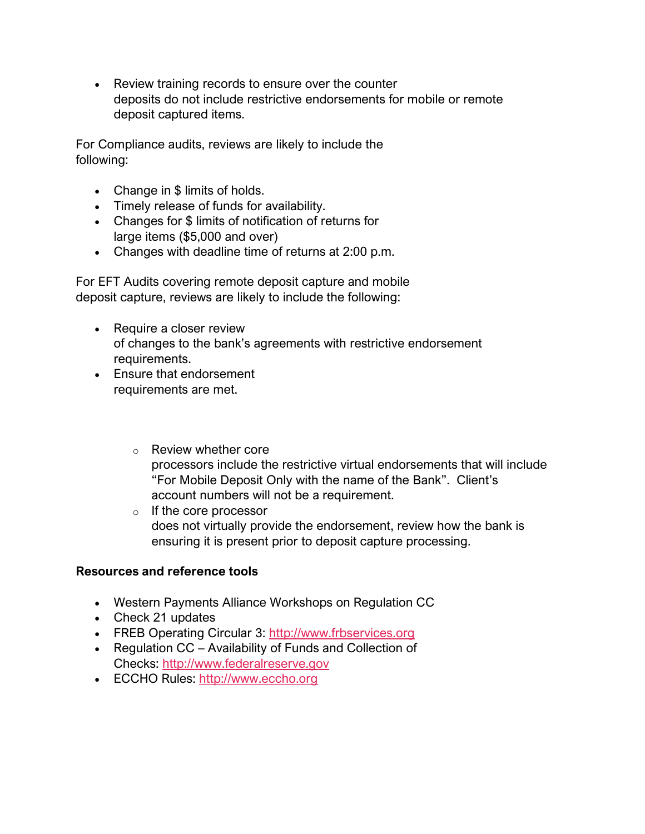• Review training records to ensure over the counter deposits do not include restrictive endorsements for mobile or remote deposit captured items.

For Compliance audits, reviews are likely to include the following:

- Change in \$ limits of holds.
- Timely release of funds for availability.
- Changes for \$ limits of notification of returns for large items (\$5,000 and over)
- Changes with deadline time of returns at 2:00 p.m.

For EFT Audits covering remote deposit capture and mobile deposit capture, reviews are likely to include the following:

- Require a closer review of changes to the bank's agreements with restrictive endorsement requirements.
- Ensure that endorsement requirements are met.
	- o Review whether core processors include the restrictive virtual endorsements that will include "For Mobile Deposit Only with the name of the Bank". Client's account numbers will not be a requirement.
	- o If the core processor does not virtually provide the endorsement, review how the bank is ensuring it is present prior to deposit capture processing.

#### **Resources and reference tools**

- Western Payments Alliance Workshops on Regulation CC
- Check 21 updates
- FREB Operating Circular 3: [http://www.frbservices.org](http://www.frbservices.org/)
- Regulation CC Availability of Funds and Collection of Checks: [http://www.federalreserve.gov](http://www.federalreserve.gov/)
- ECCHO Rules: [http://www.eccho.org](http://www.eccho.org/)